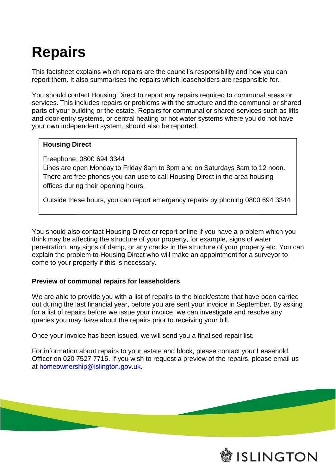## **Repairs**

This factsheet explains which repairs are the council's responsibility and how you can report them. It also summarises the repairs which leaseholders are responsible for.

You should contact Housing Direct to report any repairs required to communal areas or services. This includes repairs or problems with the structure and the communal or shared parts of your building or the estate. Repairs for communal or shared services such as lifts and door-entry systems, or central heating or hot water systems where you do not have your own independent system, should also be reported.

## **Housing Direct**

Freephone: 0800 694 3344

Lines are open Monday to Friday 8am to 8pm and on Saturdays 8am to 12 noon. There are free phones you can use to call Housing Direct in the area housing offices during their opening hours.

Outside these hours, you can report emergency repairs by phoning 0800 694 3344

You should also contact Housing Direct or report online if you have a problem which you think may be affecting the structure of your property, for example, signs of water penetration, any signs of damp, or any cracks in the structure of your property etc. You can explain the problem to Housing Direct who will make an appointment for a surveyor to come to your property if this is necessary.

## **Preview of communal repairs for leaseholders**

We are able to provide you with a list of repairs to the block/estate that have been carried out during the last financial year, before you are sent your invoice in September. By asking for a list of repairs before we issue your invoice, we can investigate and resolve any queries you may have about the repairs prior to receiving your bill.

Once your invoice has been issued, we will send you a finalised repair list.

For information about repairs to your estate and block, please contact your Leasehold Officer on 020 7527 7715. If you wish to request a preview of the repairs, please email us at [homeownership@islington.gov.uk.](mailto:homeownership@islington.gov.uk)

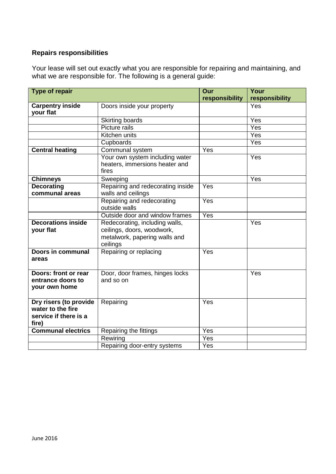## **Repairs responsibilities**

Your lease will set out exactly what you are responsible for repairing and maintaining, and what we are responsible for. The following is a general guide:

| Type of repair                                                                |                                                                                                           | Our            | Your             |
|-------------------------------------------------------------------------------|-----------------------------------------------------------------------------------------------------------|----------------|------------------|
|                                                                               |                                                                                                           | responsibility | responsibility   |
| <b>Carpentry inside</b><br>your flat                                          | Doors inside your property                                                                                |                | Yes              |
|                                                                               | <b>Skirting boards</b>                                                                                    |                | Yes              |
|                                                                               | Picture rails                                                                                             |                | $\overline{Yes}$ |
|                                                                               | Kitchen units                                                                                             |                | Yes              |
|                                                                               | Cupboards                                                                                                 |                | Yes              |
| <b>Central heating</b>                                                        | Communal system                                                                                           | Yes            |                  |
|                                                                               | Your own system including water<br>heaters, immersions heater and<br>fires                                |                | Yes              |
| <b>Chimneys</b>                                                               | Sweeping                                                                                                  |                | Yes              |
| <b>Decorating</b><br>communal areas                                           | Repairing and redecorating inside<br>walls and ceilings                                                   | Yes            |                  |
|                                                                               | Repairing and redecorating<br>outside walls                                                               | Yes            |                  |
|                                                                               | Outside door and window frames                                                                            | Yes            |                  |
| <b>Decorations inside</b><br>your flat                                        | Redecorating, including walls,<br>ceilings, doors, woodwork,<br>metalwork, papering walls and<br>ceilings |                | Yes              |
| Doors in communal<br>areas                                                    | Repairing or replacing                                                                                    | Yes            |                  |
| Doors: front or rear<br>entrance doors to<br>your own home                    | Door, door frames, hinges locks<br>and so on                                                              |                | Yes              |
| Dry risers (to provide<br>water to the fire<br>service if there is a<br>fire) | Repairing                                                                                                 | Yes            |                  |
| <b>Communal electrics</b>                                                     | Repairing the fittings                                                                                    | Yes            |                  |
|                                                                               | Rewiring                                                                                                  | Yes            |                  |
|                                                                               | Repairing door-entry systems                                                                              | Yes            |                  |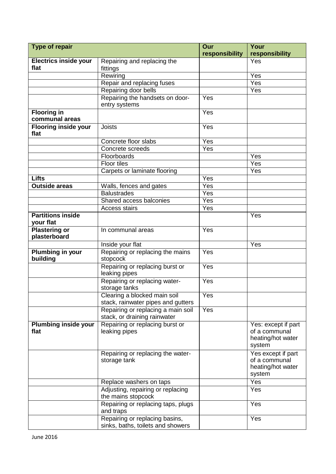| <b>Type of repair</b>                 |                                                                     | Our              | Your                                                                |
|---------------------------------------|---------------------------------------------------------------------|------------------|---------------------------------------------------------------------|
|                                       |                                                                     | responsibility   | responsibility                                                      |
| <b>Electrics inside your</b>          | Repairing and replacing the                                         |                  | Yes                                                                 |
| flat                                  | fittings                                                            |                  |                                                                     |
|                                       | Rewiring                                                            |                  | Yes                                                                 |
|                                       | Repair and replacing fuses                                          |                  | $\overline{Y}$ es                                                   |
|                                       | Repairing door bells                                                |                  | Yes                                                                 |
|                                       | Repairing the handsets on door-<br>entry systems                    | Yes              |                                                                     |
| <b>Flooring in</b><br>communal areas  |                                                                     | Yes              |                                                                     |
| <b>Flooring inside your</b><br>flat   | <b>Joists</b>                                                       | Yes              |                                                                     |
|                                       | Concrete floor slabs                                                | Yes              |                                                                     |
|                                       | Concrete screeds                                                    | Yes              |                                                                     |
|                                       | Floorboards                                                         |                  | Yes                                                                 |
|                                       | <b>Floor tiles</b>                                                  |                  | $\overline{Yes}$                                                    |
|                                       | Carpets or laminate flooring                                        |                  | Yes                                                                 |
| <b>Lifts</b>                          |                                                                     | Yes              |                                                                     |
| <b>Outside areas</b>                  | Walls, fences and gates                                             | Yes              |                                                                     |
|                                       | <b>Balustrades</b>                                                  | Yes              |                                                                     |
|                                       | Shared access balconies                                             | Yes              |                                                                     |
|                                       | <b>Access stairs</b>                                                | Yes              |                                                                     |
| <b>Partitions inside</b><br>your flat |                                                                     |                  | Yes                                                                 |
| <b>Plastering or</b><br>plasterboard  | In communal areas                                                   | Yes              |                                                                     |
|                                       | Inside your flat                                                    |                  | Yes                                                                 |
| <b>Plumbing in your</b><br>building   | Repairing or replacing the mains<br>stopcock                        | Yes              |                                                                     |
|                                       | Repairing or replacing burst or<br>leaking pipes                    | Yes              |                                                                     |
|                                       | Repairing or replacing water-<br>storage tanks                      | Yes              |                                                                     |
|                                       | Clearing a blocked main soil<br>stack, rainwater pipes and gutters  | $\overline{Yes}$ |                                                                     |
|                                       | Repairing or replacing a main soil<br>stack, or draining rainwater  | Yes              |                                                                     |
| <b>Plumbing inside your</b><br>flat   | Repairing or replacing burst or<br>leaking pipes                    |                  | Yes: except if part<br>of a communal<br>heating/hot water<br>system |
|                                       | Repairing or replacing the water-<br>storage tank                   |                  | Yes except if part<br>of a communal<br>heating/hot water<br>system  |
|                                       | Replace washers on taps                                             |                  | Yes                                                                 |
|                                       | Adjusting, repairing or replacing<br>the mains stopcock             |                  | Yes                                                                 |
|                                       | Repairing or replacing taps, plugs<br>and traps                     |                  | Yes                                                                 |
|                                       | Repairing or replacing basins,<br>sinks, baths, toilets and showers |                  | Yes                                                                 |